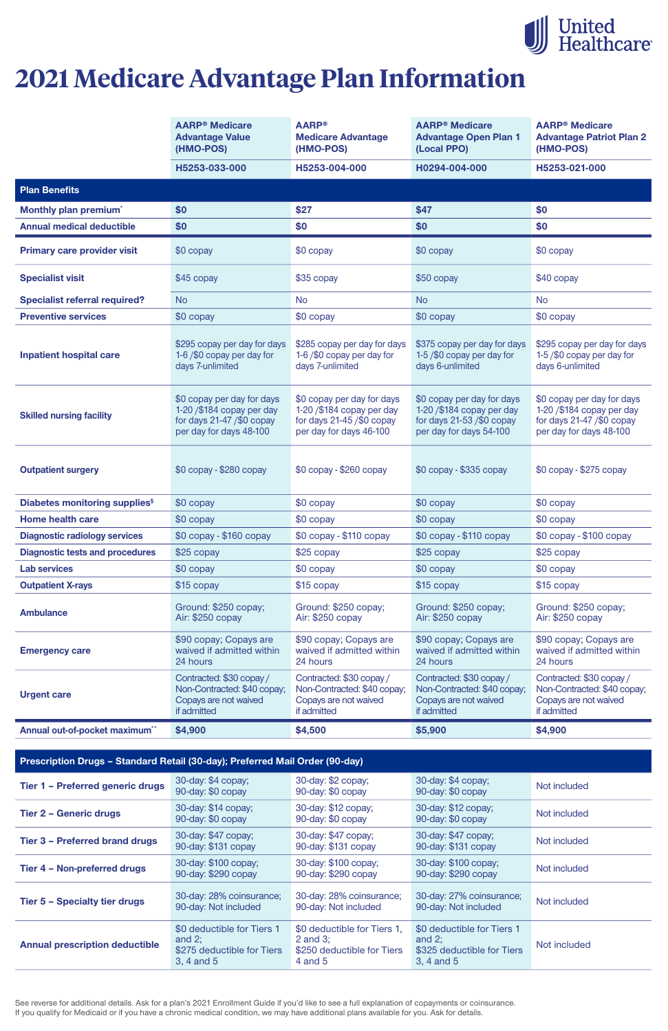See reverse for additional details. Ask for a plan's 2021 Enrollment Guide if you'd like to see a full explanation of copayments or coinsurance. If you qualify for Medicaid or if you have a chronic medical condition, we may have additional plans available for you. Ask for details.

|                                           | <b>AARP<sup>®</sup> Medicare</b><br><b>Advantage Value</b><br>(HMO-POS)                                            | <b>AARP®</b><br><b>Medicare Advantage</b><br>(HMO-POS)                                                             | <b>AARP<sup>®</sup> Medicare</b><br><b>Advantage Open Plan 1</b><br>(Local PPO)                                    | <b>AARP<sup>®</sup></b> Medicare<br><b>Advantage Patriot Plan 2</b><br>(HMO-POS)                                  |
|-------------------------------------------|--------------------------------------------------------------------------------------------------------------------|--------------------------------------------------------------------------------------------------------------------|--------------------------------------------------------------------------------------------------------------------|-------------------------------------------------------------------------------------------------------------------|
|                                           | H5253-033-000                                                                                                      | H5253-004-000                                                                                                      | H0294-004-000                                                                                                      | H5253-021-000                                                                                                     |
| <b>Plan Benefits</b>                      |                                                                                                                    |                                                                                                                    |                                                                                                                    |                                                                                                                   |
| Monthly plan premium <sup>*</sup>         | \$0                                                                                                                | \$27                                                                                                               | \$47                                                                                                               | \$0                                                                                                               |
| <b>Annual medical deductible</b>          | \$0                                                                                                                | \$0                                                                                                                | \$0                                                                                                                | \$0                                                                                                               |
| <b>Primary care provider visit</b>        | \$0 copay                                                                                                          | \$0 copay                                                                                                          | \$0 copay                                                                                                          | \$0 copay                                                                                                         |
| <b>Specialist visit</b>                   | \$45 copay                                                                                                         | \$35 copay                                                                                                         | \$50 copay                                                                                                         | \$40 copay                                                                                                        |
| <b>Specialist referral required?</b>      | <b>No</b>                                                                                                          | <b>No</b>                                                                                                          | <b>No</b>                                                                                                          | <b>No</b>                                                                                                         |
| <b>Preventive services</b>                | \$0 copay                                                                                                          | \$0 copay                                                                                                          | \$0 copay                                                                                                          | \$0 copay                                                                                                         |
| <b>Inpatient hospital care</b>            | \$295 copay per day for days<br>1-6/\$0 copay per day for<br>days 7-unlimited                                      | \$285 copay per day for days<br>1-6/\$0 copay per day for<br>days 7-unlimited                                      | \$375 copay per day for days<br>1-5/\$0 copay per day for<br>days 6-unlimited                                      | \$295 copay per day for days<br>1-5/\$0 copay per day for<br>days 6-unlimited                                     |
| <b>Skilled nursing facility</b>           | \$0 copay per day for days<br>1-20 / \$184 copay per day<br>for days $21-47$ /\$0 copay<br>per day for days 48-100 | \$0 copay per day for days<br>1-20 / \$184 copay per day<br>for days $21-45$ /\$0 copay<br>per day for days 46-100 | \$0 copay per day for days<br>1-20 / \$184 copay per day<br>for days $21-53$ /\$0 copay<br>per day for days 54-100 | \$0 copay per day for days<br>1-20 /\$184 copay per day<br>for days $21-47$ /\$0 copay<br>per day for days 48-100 |
| <b>Outpatient surgery</b>                 | $$0$ copay - $$280$ copay                                                                                          | $$0$ copay - $$260$ copay                                                                                          | $$0$ copay - $$335$ copay                                                                                          | $$0$ copay - $$275$ copay                                                                                         |
| Diabetes monitoring supplies <sup>§</sup> | \$0 copay                                                                                                          | \$0 copay                                                                                                          | \$0 copay                                                                                                          | \$0 copay                                                                                                         |
| <b>Home health care</b>                   | \$0 copay                                                                                                          | \$0 copay                                                                                                          | $$0$ copay                                                                                                         | \$0 copay                                                                                                         |
| <b>Diagnostic radiology services</b>      | $$0$ copay - $$160$ copay                                                                                          | \$0 copay - \$110 copay                                                                                            | $$0$ copay - $$110$ copay                                                                                          | $$0$ copay - $$100$ copay                                                                                         |
| <b>Diagnostic tests and procedures</b>    | $$25$ copay                                                                                                        | $$25$ copay                                                                                                        | $$25$ copay                                                                                                        | \$25 copay                                                                                                        |
| <b>Lab services</b>                       | \$0 copay                                                                                                          | \$0 copay                                                                                                          | $$0$ copay                                                                                                         | \$0 copay                                                                                                         |
| <b>Outpatient X-rays</b>                  | \$15 copay                                                                                                         | \$15 copay                                                                                                         | \$15 copay                                                                                                         | \$15 copay                                                                                                        |
| <b>Ambulance</b>                          | Ground: \$250 copay;<br>Air: \$250 copay                                                                           | Ground: \$250 copay;<br>Air: \$250 copay                                                                           | Ground: \$250 copay;<br>Air: \$250 copay                                                                           | Ground: \$250 copay;<br>Air: \$250 copay                                                                          |
| <b>Emergency care</b>                     | \$90 copay; Copays are<br>waived if admitted within<br>24 hours                                                    | \$90 copay; Copays are<br>waived if admitted within<br>24 hours                                                    | \$90 copay; Copays are<br>waived if admitted within<br>24 hours                                                    | \$90 copay; Copays are<br>waived if admitted within<br>24 hours                                                   |
| <b>Urgent care</b>                        | Contracted: \$30 copay /<br>Non-Contracted: \$40 copay;<br>Copays are not waived<br>if admitted                    | Contracted: \$30 copay /<br>Non-Contracted: \$40 copay;<br>Copays are not waived<br>if admitted                    | Contracted: \$30 copay /<br>Non-Contracted: \$40 copay;<br>Copays are not waived<br>if admitted                    | Contracted: \$30 copay /<br>Non-Contracted: \$40 copay;<br>Copays are not waived<br>if admitted                   |
| Annual out-of-pocket maximum**            | \$4,900                                                                                                            | \$4,500                                                                                                            | \$5,900                                                                                                            | \$4,900                                                                                                           |

#### **Prescription Drugs – Standard Retail (30-day); Preferred Mail Order (90-day)**

| Tier 1 - Preferred generic drugs      | 30-day: \$4 copay;<br>90-day: \$0 copay                                             | 30-day: \$2 copay;<br>90-day: \$0 copay                                                 | 30-day: \$4 copay;<br>90-day: \$0 copay                                             | Not included |
|---------------------------------------|-------------------------------------------------------------------------------------|-----------------------------------------------------------------------------------------|-------------------------------------------------------------------------------------|--------------|
| <b>Tier 2 - Generic drugs</b>         | 30-day: \$14 copay;<br>90-day: \$0 copay                                            | 30-day: \$12 copay;<br>90-day: \$0 copay                                                | 30-day: \$12 copay;<br>90-day: \$0 copay                                            | Not included |
| <b>Tier 3 - Preferred brand drugs</b> | 30-day: \$47 copay;<br>90-day: \$131 copay                                          | 30-day: \$47 copay;<br>90-day: \$131 copay                                              | 30-day: \$47 copay;<br>90-day: \$131 copay                                          | Not included |
| Tier 4 - Non-preferred drugs          | 30-day: \$100 copay;<br>90-day: \$290 copay                                         | 30-day: \$100 copay;<br>90-day: \$290 copay                                             | 30-day: \$100 copay;<br>90-day: \$290 copay                                         | Not included |
| <b>Tier 5 - Specialty tier drugs</b>  | 30-day: 28% coinsurance;<br>90-day: Not included                                    | 30-day: 28% coinsurance;<br>90-day: Not included                                        | 30-day: 27% coinsurance;<br>90-day: Not included                                    | Not included |
| <b>Annual prescription deductible</b> | \$0 deductible for Tiers 1<br>and $2$ ;<br>\$275 deductible for Tiers<br>3, 4 and 5 | \$0 deductible for Tiers 1,<br>2 and $3$ ;<br>\$250 deductible for Tiers<br>$4$ and $5$ | \$0 deductible for Tiers 1<br>and $2$ ;<br>\$325 deductible for Tiers<br>3, 4 and 5 | Not included |



# **2021 Medicare Advantage Plan Information**